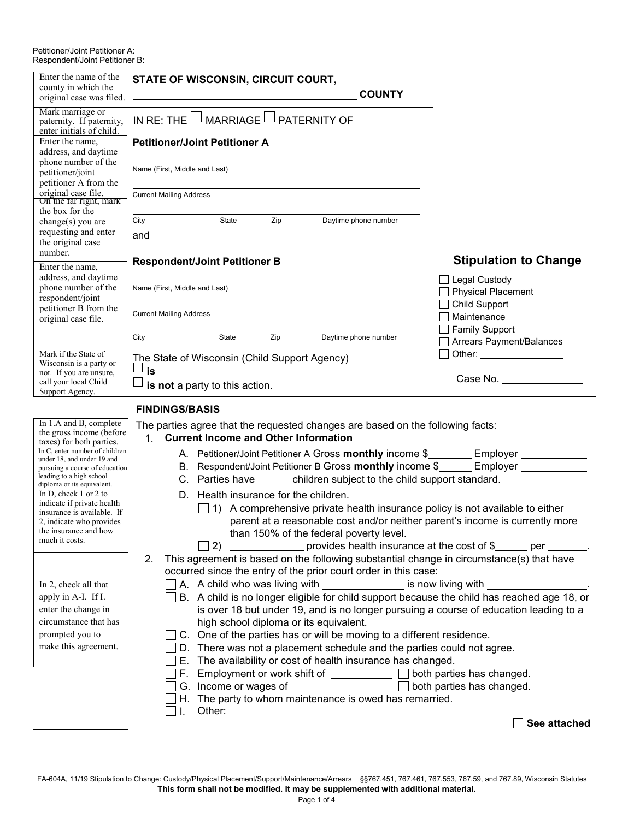## Petitioner/Joint Petitioner A:<br>Respondent/Joint Petitioner B:

| Enter the name of the<br>county in which the<br>original case was filed.                          | STATE OF WISCONSIN, CIRCUIT COURT,<br><b>COUNTY</b>                                                                                                                                                                                               |                                                                           |
|---------------------------------------------------------------------------------------------------|---------------------------------------------------------------------------------------------------------------------------------------------------------------------------------------------------------------------------------------------------|---------------------------------------------------------------------------|
| Mark marriage or<br>paternity. If paternity,<br>enter initials of child.<br>Enter the name,       | IN RE: THE $\Box$ MARRIAGE $\Box$ PATERNITY OF                                                                                                                                                                                                    |                                                                           |
| address, and daytime<br>phone number of the<br>petitioner/joint                                   | <b>Petitioner/Joint Petitioner A</b><br>Name (First, Middle and Last)                                                                                                                                                                             |                                                                           |
| petitioner A from the<br>original case file.<br>On the tar right, mark                            | <b>Current Mailing Address</b>                                                                                                                                                                                                                    |                                                                           |
| the box for the<br>change(s) you are<br>requesting and enter                                      | Zip<br>Daytime phone number<br>State<br>City<br>and                                                                                                                                                                                               |                                                                           |
| the original case<br>number.<br>Enter the name,                                                   | <b>Respondent/Joint Petitioner B</b>                                                                                                                                                                                                              | <b>Stipulation to Change</b>                                              |
| address, and daytime<br>phone number of the<br>respondent/joint<br>petitioner B from the          | Name (First, Middle and Last)                                                                                                                                                                                                                     | □ Legal Custody<br>$\Box$ Physical Placement<br>□ Child Support           |
| original case file.                                                                               | <b>Current Mailing Address</b><br><b>State</b><br>Zip<br>Daytime phone number<br>City                                                                                                                                                             | $\Box$ Maintenance<br>$\Box$ Family Support<br>□ Arrears Payment/Balances |
| Mark if the State of<br>Wisconsin is a party or<br>not. If you are unsure,                        | The State of Wisconsin (Child Support Agency)<br>is                                                                                                                                                                                               | $\Box$ Other:<br>Case No.                                                 |
| call your local Child<br>Support Agency.                                                          | is not a party to this action.                                                                                                                                                                                                                    |                                                                           |
| In 1.A and B, complete                                                                            | <b>FINDINGS/BASIS</b><br>The parties agree that the requested changes are based on the following facts:                                                                                                                                           |                                                                           |
| the gross income (before<br>taxes) for both parties.<br>In C, enter number of children            | <b>Current Income and Other Information</b><br>$1_{\cdot}$                                                                                                                                                                                        |                                                                           |
| under 18, and under 19 and<br>pursuing a course of education<br>leading to a high school          | A. Petitioner/Joint Petitioner A Gross monthly income \$________ Employer _______<br>B. Respondent/Joint Petitioner B Gross monthly income \$_______ Employer ________<br>C. Parties have _______ children subject to the child support standard. |                                                                           |
| diploma or its equivalent.<br>In D, check 1 or 2 to<br>indicate if private health                 | D. Health insurance for the children.<br>$\Box$ 1) A comprehensive private health insurance policy is not available to either                                                                                                                     |                                                                           |
| insurance is available. If<br>2, indicate who provides<br>the insurance and how<br>much it costs. | parent at a reasonable cost and/or neither parent's income is currently more<br>than 150% of the federal poverty level.                                                                                                                           |                                                                           |
|                                                                                                   | provides health insurance at the cost of \$<br>$\Box$ 2)<br>This agreement is based on the following substantial change in circumstance(s) that have<br>2.<br>occurred since the entry of the prior court order in this case:                     |                                                                           |
| In 2, check all that<br>apply in A-I. If I.                                                       | □ A. A child who was living with _______________ is now living with ___________<br>B. A child is no longer eligible for child support because the child has reached age 18, or                                                                    |                                                                           |
| enter the change in<br>circumstance that has<br>prompted you to                                   | is over 18 but under 19, and is no longer pursuing a course of education leading to a<br>high school diploma or its equivalent.<br>C. One of the parties has or will be moving to a different residence.                                          |                                                                           |
| make this agreement.                                                                              | D. There was not a placement schedule and the parties could not agree.<br>E. The availability or cost of health insurance has changed.                                                                                                            |                                                                           |
|                                                                                                   | Employment or work shift of $\Box$ $\Box$ both parties has changed.<br>F.<br>G. Income or wages of $\Box$ $\Box$ both parties has changed.<br>H. The party to whom maintenance is owed has remarried.                                             |                                                                           |
|                                                                                                   |                                                                                                                                                                                                                                                   |                                                                           |

**See attached**

FA-604A, 11/19 Stipulation to Change: Custody/Physical Placement/Support/Maintenance/Arrears §§767.451, 767.461, 767.553, 767.59, and 767.89, Wisconsin Statutes **This form shall not be modified. It may be supplemented with additional material.**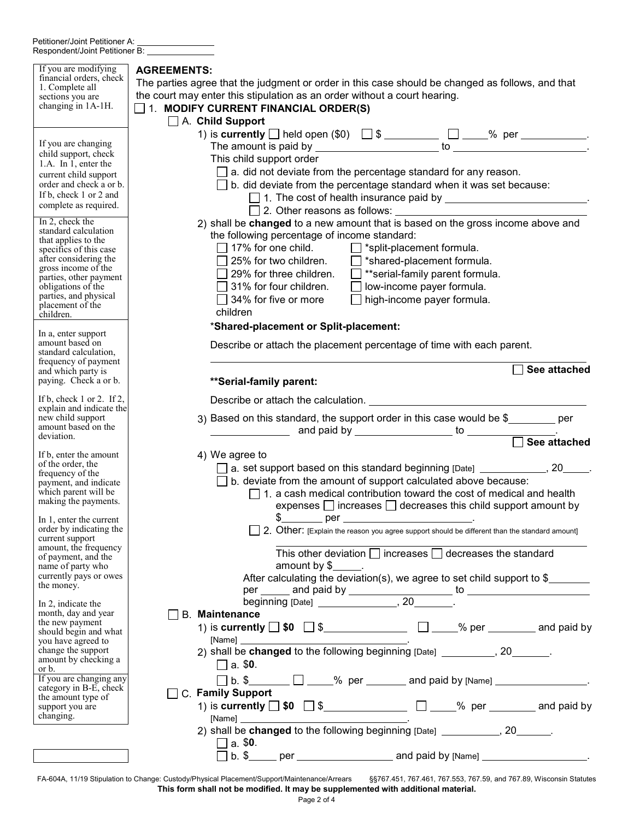| If you are modifying<br>financial orders, check<br>1. Complete all<br>sections you are                          | <b>AGREEMENTS:</b><br>The parties agree that the judgment or order in this case should be changed as follows, and that<br>the court may enter this stipulation as an order without a court hearing. |  |  |  |  |  |
|-----------------------------------------------------------------------------------------------------------------|-----------------------------------------------------------------------------------------------------------------------------------------------------------------------------------------------------|--|--|--|--|--|
| changing in 1A-1H.                                                                                              | $\Box$ 1. MODIFY CURRENT FINANCIAL ORDER(S)                                                                                                                                                         |  |  |  |  |  |
| If you are changing                                                                                             | $\Box$ A. Child Support                                                                                                                                                                             |  |  |  |  |  |
| child support, check<br>1.A. In 1, enter the                                                                    | This child support order                                                                                                                                                                            |  |  |  |  |  |
| current child support                                                                                           | $\Box$ a. did not deviate from the percentage standard for any reason.                                                                                                                              |  |  |  |  |  |
| order and check a or b.<br>If b, check 1 or 2 and                                                               | $\Box$ b. did deviate from the percentage standard when it was set because:<br>□ 1. The cost of health insurance paid by _________________________.                                                 |  |  |  |  |  |
| complete as required.                                                                                           |                                                                                                                                                                                                     |  |  |  |  |  |
| In 2, check the<br>standard calculation                                                                         | 2) shall be changed to a new amount that is based on the gross income above and                                                                                                                     |  |  |  |  |  |
| that applies to the<br>specifics of this case                                                                   | the following percentage of income standard:<br>$\Box$ 17% for one child.<br>$\Box$ *split-placement formula.                                                                                       |  |  |  |  |  |
| after considering the                                                                                           | $\Box$ 25% for two children.<br>$\Box$ *shared-placement formula.                                                                                                                                   |  |  |  |  |  |
| gross income of the<br>parties, other payment                                                                   | $\Box$ 29% for three children.<br>$\Box$ **serial-family parent formula.                                                                                                                            |  |  |  |  |  |
| obligations of the<br>parties, and physical                                                                     | $\Box$ 31% for four children.<br>$\Box$ low-income payer formula.<br>$\Box$ high-income payer formula.<br>$\Box$ 34% for five or more                                                               |  |  |  |  |  |
| placement of the<br>children.                                                                                   | children                                                                                                                                                                                            |  |  |  |  |  |
| In a, enter support                                                                                             | *Shared-placement or Split-placement:                                                                                                                                                               |  |  |  |  |  |
| amount based on<br>standard calculation,<br>frequency of payment<br>and which party is<br>paying. Check a or b. | Describe or attach the placement percentage of time with each parent.                                                                                                                               |  |  |  |  |  |
|                                                                                                                 | See attached<br>**Serial-family parent:                                                                                                                                                             |  |  |  |  |  |
| If b, check $1$ or $2$ . If $2$ ,                                                                               |                                                                                                                                                                                                     |  |  |  |  |  |
| explain and indicate the<br>new child support                                                                   | 3) Based on this standard, the support order in this case would be \$_______ per                                                                                                                    |  |  |  |  |  |
| amount based on the<br>deviation.                                                                               | Based on this standard, the support state is $\frac{1}{2}$ to $\frac{1}{\sqrt{2}}$ See attached                                                                                                     |  |  |  |  |  |
| If b, enter the amount                                                                                          | 4) We agree to                                                                                                                                                                                      |  |  |  |  |  |
| of the order, the<br>frequency of the                                                                           | □ a. set support based on this standard beginning [Date] _____________, 20_____.                                                                                                                    |  |  |  |  |  |
| payment, and indicate<br>which parent will be                                                                   | $\Box$ b. deviate from the amount of support calculated above because:<br>$\Box$ 1. a cash medical contribution toward the cost of medical and health                                               |  |  |  |  |  |
| making the payments.                                                                                            | expenses $\Box$ increases $\Box$ decreases this child support amount by                                                                                                                             |  |  |  |  |  |
| In 1, enter the current<br>order by indicating the                                                              | 2. Other: [Explain the reason you agree support should be different than the standard amount]                                                                                                       |  |  |  |  |  |
| current support<br>amount, the frequency                                                                        |                                                                                                                                                                                                     |  |  |  |  |  |
| of payment, and the                                                                                             | This other deviation $\Box$ increases $\Box$ decreases the standard<br>amount by $$$ .                                                                                                              |  |  |  |  |  |
| name of party who<br>currently pays or owes                                                                     | After calculating the deviation(s), we agree to set child support to \$                                                                                                                             |  |  |  |  |  |
| the money.                                                                                                      |                                                                                                                                                                                                     |  |  |  |  |  |
| In 2, indicate the<br>month, day and year                                                                       | <b>B.</b> Maintenance                                                                                                                                                                               |  |  |  |  |  |
| the new payment<br>should begin and what                                                                        |                                                                                                                                                                                                     |  |  |  |  |  |
| you have agreed to<br>change the support                                                                        | [Name] <b>Name Name Name Name Name Name Name Name Name Name Name </b><br>2) shall be <b>changed</b> to the following beginning [Date] ___________, 20________.                                      |  |  |  |  |  |
| amount by checking a<br>or b.                                                                                   | $\Box$ a. \$0.                                                                                                                                                                                      |  |  |  |  |  |
| or b.<br>If you are changing any<br>category in B-E, check                                                      | $\Box$ b. \$________ $\Box$ ____% per _______ and paid by [Name] ________________.                                                                                                                  |  |  |  |  |  |
| the amount type of<br>support you are                                                                           | C. Family Support<br>1) is currently $\Box$ \$0 $\Box$ \$ _________________________ $\Box$ _____% per __________ and paid by                                                                        |  |  |  |  |  |
| changing.                                                                                                       |                                                                                                                                                                                                     |  |  |  |  |  |
|                                                                                                                 | 2) shall be <b>changed</b> to the following beginning [Date] ___________, 20_______.<br>ヿa. \$0.                                                                                                    |  |  |  |  |  |
|                                                                                                                 |                                                                                                                                                                                                     |  |  |  |  |  |

FA-604A, 11/19 Stipulation to Change: Custody/Physical Placement/Support/Maintenance/Arrears §§767.451, 767.461, 767.553, 767.59, and 767.89, Wisconsin Statutes **This form shall not be modified. It may be supplemented with additional material.**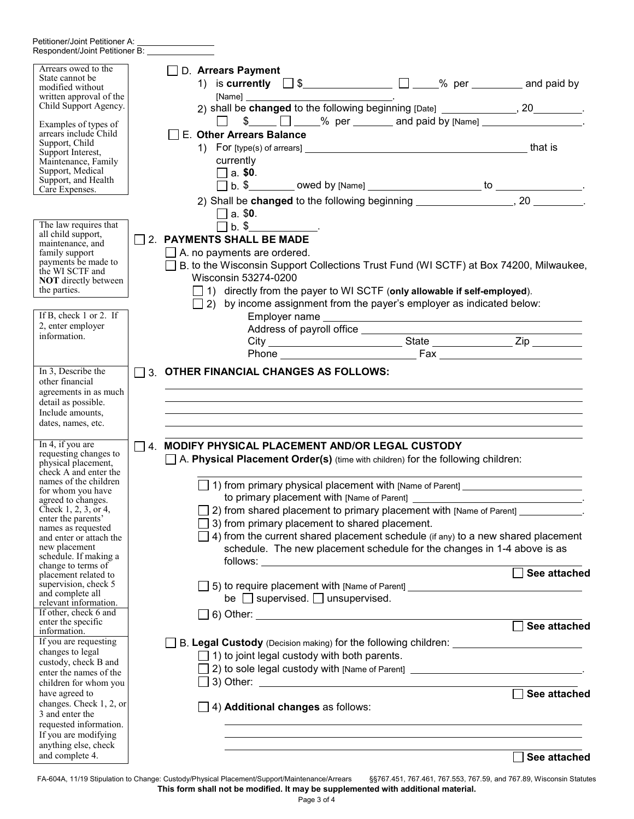| Petitioner/Joint Petitioner A:<br>Respondent/Joint Petitioner B: Value of Assembly                                                                                                                                                                                                         |  |                                                                                                                                              |                                                                                                                                                    |  |                                                                                                                                                                                                                                                                                                                                         |
|--------------------------------------------------------------------------------------------------------------------------------------------------------------------------------------------------------------------------------------------------------------------------------------------|--|----------------------------------------------------------------------------------------------------------------------------------------------|----------------------------------------------------------------------------------------------------------------------------------------------------|--|-----------------------------------------------------------------------------------------------------------------------------------------------------------------------------------------------------------------------------------------------------------------------------------------------------------------------------------------|
| Arrears owed to the<br>State cannot be<br>modified without<br>written approval of the<br>Child Support Agency.<br>Examples of types of<br>arrears include Child<br>Support, Child<br>Support Interest,<br>Maintenance, Family<br>Support, Medical<br>Support, and Health<br>Care Expenses. |  | D. Arrears Payment<br>E. Other Arrears Balance<br>currently<br>$\Box$ a. \$0.                                                                |                                                                                                                                                    |  | 1) is currently $\Box$ \$ _________________________ $\Box$ _____% per __________ and paid by<br>2) shall be <b>changed</b> to the following beginning [Date] _______________, 20_________.                                                                                                                                              |
|                                                                                                                                                                                                                                                                                            |  |                                                                                                                                              |                                                                                                                                                    |  | 2) Shall be <b>changed</b> to the following beginning ___________________, 20 ________.                                                                                                                                                                                                                                                 |
| The law requires that<br>all child support,<br>maintenance, and<br>family support<br>payments be made to<br>the WI SCTF and<br><b>NOT</b> directly between<br>the parties.                                                                                                                 |  | $\square$ a. \$0.<br>$\Box$ b. \$_______________.<br>2. PAYMENTS SHALL BE MADE<br>$\Box$ A. no payments are ordered.<br>Wisconsin 53274-0200 | 1) directly from the payer to WI SCTF (only allowable if self-employed).                                                                           |  | B. to the Wisconsin Support Collections Trust Fund (WI SCTF) at Box 74200, Milwaukee,                                                                                                                                                                                                                                                   |
| If B, check $1$ or $2$ . If                                                                                                                                                                                                                                                                |  |                                                                                                                                              | $\Box$ 2) by income assignment from the payer's employer as indicated below:                                                                       |  |                                                                                                                                                                                                                                                                                                                                         |
| 2, enter employer<br>information.                                                                                                                                                                                                                                                          |  |                                                                                                                                              |                                                                                                                                                    |  |                                                                                                                                                                                                                                                                                                                                         |
| In 3, Describe the<br>other financial<br>agreements in as much<br>detail as possible.<br>Include amounts,<br>dates, names, etc.                                                                                                                                                            |  |                                                                                                                                              | □ 3. OTHER FINANCIAL CHANGES AS FOLLOWS:                                                                                                           |  | ,我们也不会有什么。""我们的人,我们也不会有什么?""我们的人,我们也不会有什么?""我们的人,我们也不会有什么?""我们的人,我们也不会有什么?""我们的人                                                                                                                                                                                                                                                        |
| In 4, if you are<br>requesting changes to<br>physical placement,<br>check A and enter the                                                                                                                                                                                                  |  |                                                                                                                                              | $\Box$ 4. MODIFY PHYSICAL PLACEMENT AND/OR LEGAL CUSTODY<br>$\Box$ A. Physical Placement Order(s) (time with children) for the following children: |  |                                                                                                                                                                                                                                                                                                                                         |
| names of the children<br>for whom you have<br>agreed to changes.<br>Check $1, 2, 3$ , or 4,<br>enter the parents'<br>names as requested<br>and enter or attach the<br>new placement                                                                                                        |  |                                                                                                                                              | to primary placement with [Name of Parent] _____<br>3) from primary placement to shared placement.                                                 |  | $\Box$ 1) from primary physical placement with [Name of Parent] ____________________<br>2) from shared placement to primary placement with [Name of Parent] ___________.<br>4) from the current shared placement schedule (if any) to a new shared placement<br>schedule. The new placement schedule for the changes in 1-4 above is as |
| schedule. If making a<br>change to terms of<br>placement related to                                                                                                                                                                                                                        |  |                                                                                                                                              |                                                                                                                                                    |  | See attached                                                                                                                                                                                                                                                                                                                            |
| supervision, check 5<br>and complete all<br>relevant information.<br>If other, check 6 and                                                                                                                                                                                                 |  |                                                                                                                                              | be $\Box$ supervised. $\Box$ unsupervised.<br>$\Box$ 6) Other: $\Box$                                                                              |  | □ 5) to require placement with [Name of Parent] ________________________________                                                                                                                                                                                                                                                        |
| enter the specific<br>information.<br>If you are requesting<br>changes to legal<br>custody, check B and<br>enter the names of the<br>children for whom you                                                                                                                                 |  |                                                                                                                                              | $\Box$ 1) to joint legal custody with both parents.                                                                                                |  | See attached<br>B. Legal Custody (Decision making) for the following children: __________________<br>2) to sole legal custody with [Name of Parent] _________________________________                                                                                                                                                   |
| have agreed to<br>changes. Check 1, 2, or<br>3 and enter the<br>requested information.<br>If you are modifying<br>anything else, check                                                                                                                                                     |  |                                                                                                                                              | $\Box$ 4) Additional changes as follows:                                                                                                           |  | See attached                                                                                                                                                                                                                                                                                                                            |
| and complete 4.                                                                                                                                                                                                                                                                            |  |                                                                                                                                              |                                                                                                                                                    |  | See attached                                                                                                                                                                                                                                                                                                                            |

FA-604A, 11/19 Stipulation to Change: Custody/Physical Placement/Support/Maintenance/Arrears §§767.451, 767.461, 767.553, 767.59, and 767.89, Wisconsin Statutes **This form shall not be modified. It may be supplemented with additional material.**